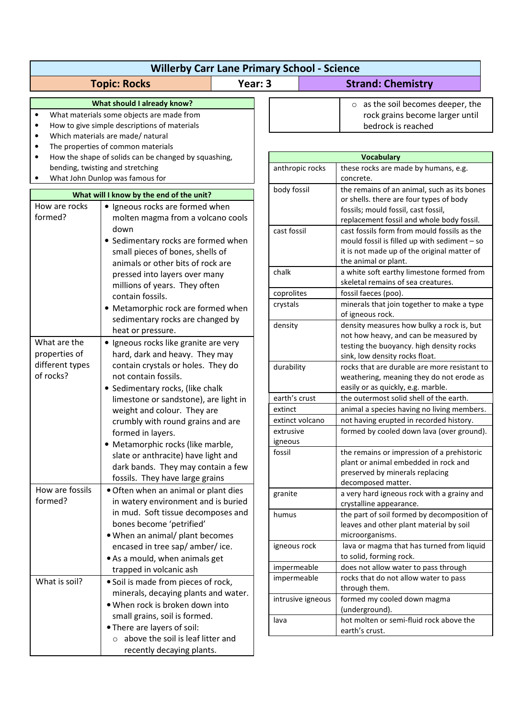| <b>Willerby Carr Lane Primary School - Science</b>                                                                   |                                                                                                                                                               |         |                   |                                                                                                                                                                    |  |  |
|----------------------------------------------------------------------------------------------------------------------|---------------------------------------------------------------------------------------------------------------------------------------------------------------|---------|-------------------|--------------------------------------------------------------------------------------------------------------------------------------------------------------------|--|--|
|                                                                                                                      | <b>Topic: Rocks</b>                                                                                                                                           | Year: 3 |                   | <b>Strand: Chemistry</b>                                                                                                                                           |  |  |
| $\bullet$<br>$\bullet$                                                                                               | What should I already know?<br>What materials some objects are made from<br>How to give simple descriptions of materials<br>Which materials are made/ natural |         |                   | $\circ$ as the soil becomes deeper, the<br>rock grains become larger until<br>bedrock is reached                                                                   |  |  |
| The properties of common materials<br>$\bullet$<br>How the shape of solids can be changed by squashing,<br>$\bullet$ |                                                                                                                                                               |         |                   | <b>Vocabulary</b>                                                                                                                                                  |  |  |
| bending, twisting and stretching                                                                                     |                                                                                                                                                               |         | anthropic rocks   | these rocks are made by humans, e.g.                                                                                                                               |  |  |
| What John Dunlop was famous for<br>What will I know by the end of the unit?                                          |                                                                                                                                                               |         | body fossil       | concrete.<br>the remains of an animal, such as its bones                                                                                                           |  |  |
| How are rocks<br>• Igneous rocks are formed when<br>formed?<br>molten magma from a volcano cools                     |                                                                                                                                                               |         |                   | or shells. there are four types of body<br>fossils; mould fossil, cast fossil,<br>replacement fossil and whole body fossil.                                        |  |  |
|                                                                                                                      | down<br>• Sedimentary rocks are formed when<br>small pieces of bones, shells of<br>animals or other bits of rock are                                          |         | cast fossil       | cast fossils form from mould fossils as the<br>mould fossil is filled up with sediment - so<br>it is not made up of the original matter of<br>the animal or plant. |  |  |
|                                                                                                                      | pressed into layers over many<br>millions of years. They often                                                                                                |         | chalk             | a white soft earthy limestone formed from<br>skeletal remains of sea creatures.                                                                                    |  |  |
|                                                                                                                      | contain fossils.                                                                                                                                              |         | coprolites        | fossil faeces (poo).                                                                                                                                               |  |  |
|                                                                                                                      | • Metamorphic rock are formed when                                                                                                                            |         | crystals          | minerals that join together to make a type                                                                                                                         |  |  |
| What are the                                                                                                         | sedimentary rocks are changed by<br>heat or pressure.<br>• Igneous rocks like granite are very                                                                |         | density           | of igneous rock.<br>density measures how bulky a rock is, but<br>not how heavy, and can be measured by<br>testing the buoyancy. high density rocks                 |  |  |
| properties of                                                                                                        | hard, dark and heavy. They may                                                                                                                                |         |                   | sink, low density rocks float.                                                                                                                                     |  |  |
| different types<br>of rocks?                                                                                         | contain crystals or holes. They do<br>not contain fossils.<br>• Sedimentary rocks, (like chalk                                                                |         | durability        | rocks that are durable are more resistant to<br>weathering, meaning they do not erode as<br>easily or as quickly, e.g. marble.                                     |  |  |
|                                                                                                                      | limestone or sandstone), are light in                                                                                                                         |         | earth's crust     | the outermost solid shell of the earth.                                                                                                                            |  |  |
|                                                                                                                      | weight and colour. They are                                                                                                                                   |         | extinct           | animal a species having no living members.                                                                                                                         |  |  |
|                                                                                                                      | crumbly with round grains and are                                                                                                                             |         | extinct volcano   | not having erupted in recorded history.                                                                                                                            |  |  |
|                                                                                                                      | formed in layers.                                                                                                                                             |         | extrusive         | formed by cooled down lava (over ground).                                                                                                                          |  |  |
|                                                                                                                      | • Metamorphic rocks (like marble,<br>slate or anthracite) have light and<br>dark bands. They may contain a few<br>fossils. They have large grains             |         | igneous<br>fossil | the remains or impression of a prehistoric<br>plant or animal embedded in rock and<br>preserved by minerals replacing<br>decomposed matter.                        |  |  |
| How are fossils<br>formed?                                                                                           | · Often when an animal or plant dies<br>in watery environment and is buried                                                                                   |         | granite           | a very hard igneous rock with a grainy and<br>crystalline appearance.                                                                                              |  |  |
|                                                                                                                      | in mud. Soft tissue decomposes and<br>bones become 'petrified'<br>. When an animal/ plant becomes                                                             |         | humus             | the part of soil formed by decomposition of<br>leaves and other plant material by soil<br>microorganisms.                                                          |  |  |
|                                                                                                                      | encased in tree sap/ amber/ ice.<br>• As a mould, when animals get                                                                                            |         | igneous rock      | lava or magma that has turned from liquid<br>to solid, forming rock.                                                                                               |  |  |
|                                                                                                                      | trapped in volcanic ash                                                                                                                                       |         | impermeable       | does not allow water to pass through                                                                                                                               |  |  |
| What is soil?                                                                                                        | · Soil is made from pieces of rock,                                                                                                                           |         | impermeable       | rocks that do not allow water to pass                                                                                                                              |  |  |
|                                                                                                                      | minerals, decaying plants and water.                                                                                                                          |         | intrusive igneous | through them.<br>formed my cooled down magma                                                                                                                       |  |  |
|                                                                                                                      | . When rock is broken down into                                                                                                                               |         |                   | (underground).                                                                                                                                                     |  |  |
|                                                                                                                      | small grains, soil is formed.<br>• There are layers of soil:                                                                                                  |         | lava              | hot molten or semi-fluid rock above the<br>earth's crust.                                                                                                          |  |  |
|                                                                                                                      | $\circ$ above the soil is leaf litter and<br>recently decaying plants.                                                                                        |         |                   |                                                                                                                                                                    |  |  |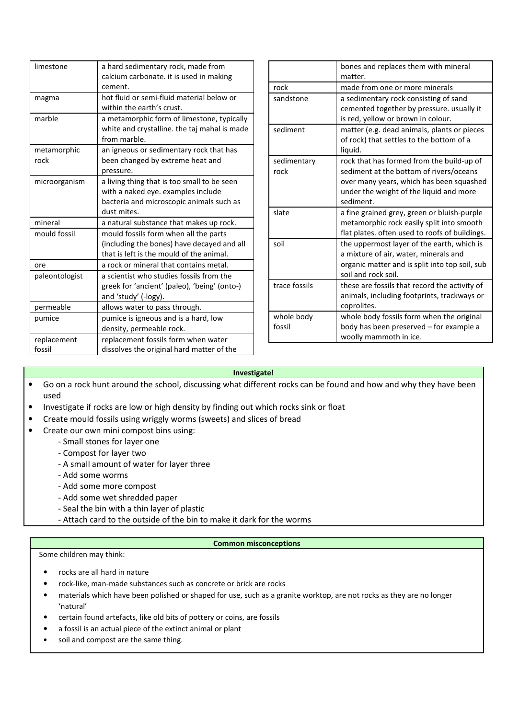| limestone      | a hard sedimentary rock, made from           |
|----------------|----------------------------------------------|
|                | calcium carbonate. it is used in making      |
|                | cement.                                      |
| magma          | hot fluid or semi-fluid material below or    |
|                | within the earth's crust.                    |
| marble         | a metamorphic form of limestone, typically   |
|                | white and crystalline. the taj mahal is made |
|                | from marble.                                 |
| metamorphic    | an igneous or sedimentary rock that has      |
| rock           | been changed by extreme heat and             |
|                | pressure.                                    |
| microorganism  | a living thing that is too small to be seen  |
|                | with a naked eye. examples include           |
|                | bacteria and microscopic animals such as     |
|                | dust mites.                                  |
| mineral        | a natural substance that makes up rock.      |
| mould fossil   | mould fossils form when all the parts        |
|                | (including the bones) have decayed and all   |
|                | that is left is the mould of the animal.     |
| ore            | a rock or mineral that contains metal.       |
| paleontologist | a scientist who studies fossils from the     |
|                | greek for 'ancient' (paleo), 'being' (onto-) |
|                | and 'study' (-logy).                         |
| permeable      | allows water to pass through.                |
| pumice         | pumice is igneous and is a hard, low         |
|                | density, permeable rock.                     |
| replacement    | replacement fossils form when water          |
| fossil         | dissolves the original hard matter of the    |

|                      | bones and replaces them with mineral<br>matter.                                                                                                                                          |
|----------------------|------------------------------------------------------------------------------------------------------------------------------------------------------------------------------------------|
| rock                 | made from one or more minerals                                                                                                                                                           |
| sandstone            | a sedimentary rock consisting of sand<br>cemented together by pressure. usually it<br>is red, yellow or brown in colour.                                                                 |
| sediment             | matter (e.g. dead animals, plants or pieces<br>of rock) that settles to the bottom of a<br>liquid.                                                                                       |
| sedimentary<br>rock  | rock that has formed from the build-up of<br>sediment at the bottom of rivers/oceans<br>over many years, which has been squashed<br>under the weight of the liquid and more<br>sediment. |
| slate                | a fine grained grey, green or bluish-purple<br>metamorphic rock easily split into smooth<br>flat plates. often used to roofs of buildings.                                               |
| soil                 | the uppermost layer of the earth, which is<br>a mixture of air, water, minerals and<br>organic matter and is split into top soil, sub<br>soil and rock soil.                             |
| trace fossils        | these are fossils that record the activity of<br>animals, including footprints, trackways or<br>coprolites.                                                                              |
| whole body<br>fossil | whole body fossils form when the original<br>body has been preserved – for example a<br>woolly mammoth in ice.                                                                           |

## **Investigate!**

- Go on a rock hunt around the school, discussing what different rocks can be found and how and why they have been used
- Investigate if rocks are low or high density by finding out which rocks sink or float
- Create mould fossils using wriggly worms (sweets) and slices of bread
- Create our own mini compost bins using:
	- Small stones for layer one
	- Compost for layer two
	- A small amount of water for layer three
	- Add some worms
	- Add some more compost
	- Add some wet shredded paper
	- Seal the bin with a thin layer of plastic

- Attach card to the outside of the bin to make it dark for the worms

## **Common misconceptions**

Some children may think:

- rocks are all hard in nature
- rock-like, man-made substances such as concrete or brick are rocks
- materials which have been polished or shaped for use, such as a granite worktop, are not rocks as they are no longer 'natural'
- certain found artefacts, like old bits of pottery or coins, are fossils
- a fossil is an actual piece of the extinct animal or plant
- soil and compost are the same thing.